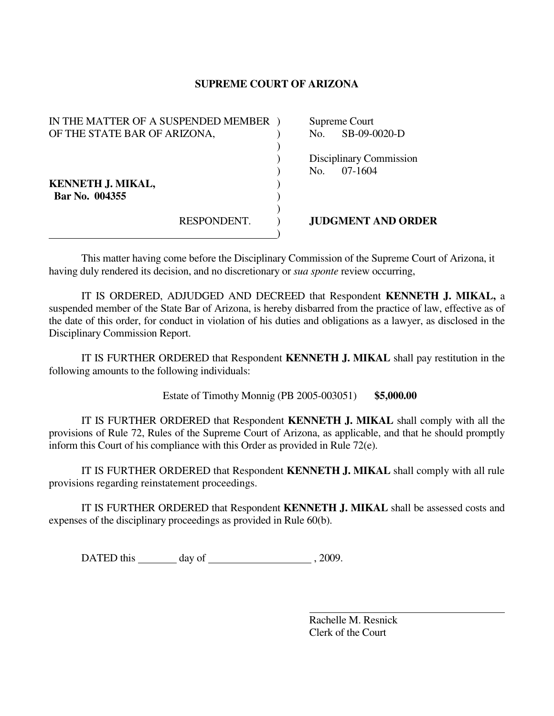## **SUPREME COURT OF ARIZONA**

| IN THE MATTER OF A SUSPENDED MEMBER |             |  | Supreme Court             |
|-------------------------------------|-------------|--|---------------------------|
| OF THE STATE BAR OF ARIZONA,        |             |  | SB-09-0020-D<br>No.       |
|                                     |             |  |                           |
|                                     |             |  | Disciplinary Commission   |
|                                     |             |  | 07-1604<br>No.            |
| <b>KENNETH J. MIKAL,</b>            |             |  |                           |
| Bar No. 004355                      |             |  |                           |
|                                     |             |  |                           |
|                                     | RESPONDENT. |  | <b>JUDGMENT AND ORDER</b> |
|                                     |             |  |                           |

This matter having come before the Disciplinary Commission of the Supreme Court of Arizona, it having duly rendered its decision, and no discretionary or *sua sponte* review occurring,

 IT IS ORDERED, ADJUDGED AND DECREED that Respondent **KENNETH J. MIKAL,** a suspended member of the State Bar of Arizona, is hereby disbarred from the practice of law, effective as of the date of this order, for conduct in violation of his duties and obligations as a lawyer, as disclosed in the Disciplinary Commission Report.

 IT IS FURTHER ORDERED that Respondent **KENNETH J. MIKAL** shall pay restitution in the following amounts to the following individuals:

Estate of Timothy Monnig (PB 2005-003051) **\$5,000.00**

 IT IS FURTHER ORDERED that Respondent **KENNETH J. MIKAL** shall comply with all the provisions of Rule 72, Rules of the Supreme Court of Arizona, as applicable, and that he should promptly inform this Court of his compliance with this Order as provided in Rule 72(e).

 IT IS FURTHER ORDERED that Respondent **KENNETH J. MIKAL** shall comply with all rule provisions regarding reinstatement proceedings.

 IT IS FURTHER ORDERED that Respondent **KENNETH J. MIKAL** shall be assessed costs and expenses of the disciplinary proceedings as provided in Rule 60(b).

DATED this day of  $\qquad \qquad$  , 2009.

 Rachelle M. Resnick Clerk of the Court